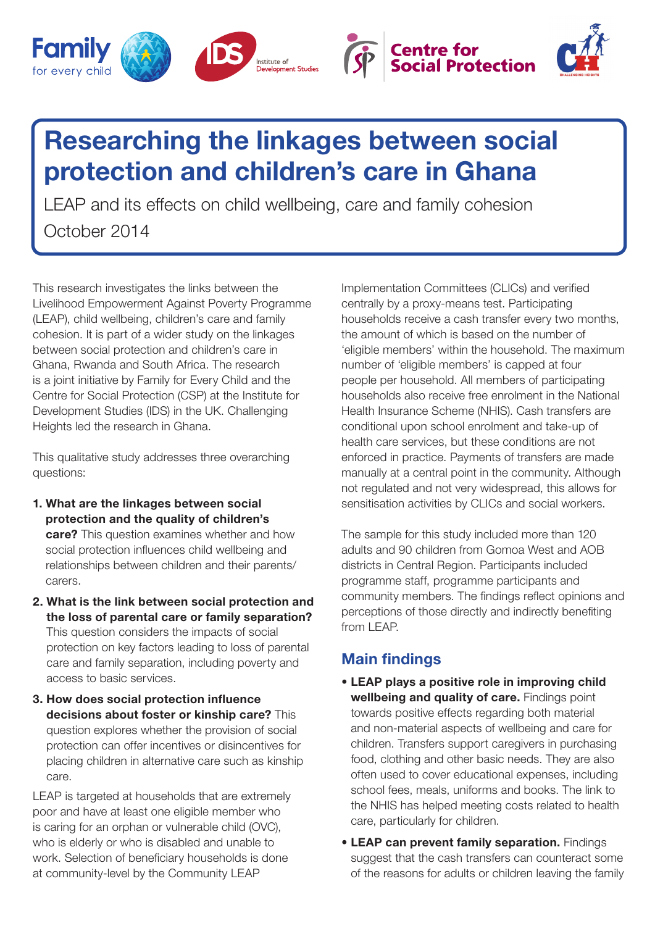





## Researching the linkages between social protection and children's care in Ghana

LEAP and its effects on child wellbeing, care and family cohesion October 2014

This research investigates the links between the Livelihood Empowerment Against Poverty Programme (LEAP), child wellbeing, children's care and family cohesion. It is part of a wider study on the linkages between social protection and children's care in Ghana, Rwanda and South Africa. The research is a joint initiative by Family for Every Child and the Centre for Social Protection (CSP) at the Institute for Development Studies (IDS) in the UK. Challenging Heights led the research in Ghana.

This qualitative study addresses three overarching questions:

- 1. What are the linkages between social protection and the quality of children's **care?** This question examines whether and how social protection influences child wellbeing and relationships between children and their parents/ carers.
- 2. What is the link between social protection and the loss of parental care or family separation? This question considers the impacts of social protection on key factors leading to loss of parental care and family separation, including poverty and access to basic services.
- 3. How does social protection influence decisions about foster or kinship care? This question explores whether the provision of social protection can offer incentives or disincentives for placing children in alternative care such as kinship care.

LEAP is targeted at households that are extremely poor and have at least one eligible member who is caring for an orphan or vulnerable child (OVC), who is elderly or who is disabled and unable to work. Selection of beneficiary households is done at community-level by the Community LEAP

Implementation Committees (CLICs) and verified centrally by a proxy-means test. Participating households receive a cash transfer every two months, the amount of which is based on the number of 'eligible members' within the household. The maximum number of 'eligible members' is capped at four people per household. All members of participating households also receive free enrolment in the National Health Insurance Scheme (NHIS). Cash transfers are conditional upon school enrolment and take-up of health care services, but these conditions are not enforced in practice. Payments of transfers are made manually at a central point in the community. Although not regulated and not very widespread, this allows for sensitisation activities by CLICs and social workers.

The sample for this study included more than 120 adults and 90 children from Gomoa West and AOB districts in Central Region. Participants included programme staff, programme participants and community members. The findings reflect opinions and perceptions of those directly and indirectly benefiting from LEAP.

## Main findings

- LEAP plays a positive role in improving child wellbeing and quality of care. Findings point towards positive effects regarding both material and non-material aspects of wellbeing and care for children. Transfers support caregivers in purchasing food, clothing and other basic needs. They are also often used to cover educational expenses, including school fees, meals, uniforms and books. The link to the NHIS has helped meeting costs related to health care, particularly for children.
- LEAP can prevent family separation. Findings suggest that the cash transfers can counteract some of the reasons for adults or children leaving the family